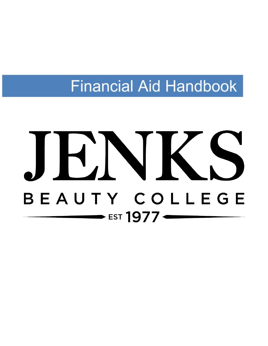## **Financial Aid Handbook**

# BEAUTY COLLEGE  $\rightarrow$  est 1977 <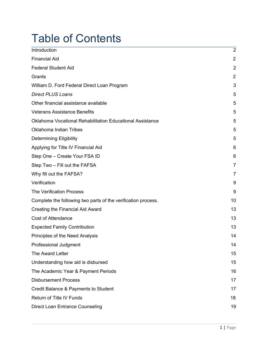### Table of Contents

| Introduction                                                     | $\overline{2}$ |
|------------------------------------------------------------------|----------------|
| <b>Financial Aid</b>                                             | $\overline{2}$ |
| <b>Federal Student Aid</b>                                       | $\overline{2}$ |
| Grants                                                           | $\overline{2}$ |
| William D. Ford Federal Direct Loan Program                      | 3              |
| <b>Direct PLUS Loans</b>                                         | 5              |
| Other financial assistance available                             | 5              |
| <b>Veterans Assistance Benefits</b>                              | 5              |
| <b>Oklahoma Vocational Rehabilitation Educational Assistance</b> | 5              |
| Oklahoma Indian Tribes                                           | 5              |
| <b>Determining Eligibility</b>                                   | 5              |
| Applying for Title IV Financial Aid                              | 6              |
| Step One - Create Your FSA ID                                    | 6              |
| Step Two - Fill out the FAFSA                                    | 7              |
| Why fill out the FAFSA?                                          | $\overline{7}$ |
| Verification                                                     | 9              |
| <b>The Verification Process</b>                                  | 9              |
| Complete the following two parts of the verification process.    | 10             |
| Creating the Financial Aid Award                                 | 13             |
| <b>Cost of Attendance</b>                                        | 13             |
| <b>Expected Family Contribution</b>                              | 13             |
| Principles of the Need Analysis                                  | 14             |
| <b>Professional Judgment</b>                                     | 14             |
| The Award Letter                                                 | 15             |
| Understanding how aid is disbursed                               | 15             |
| The Academic Year & Payment Periods                              | 16             |
| <b>Disbursement Process</b>                                      | 17             |
| Credit Balance & Payments to Student                             | 17             |
| Return of Title IV Funds                                         | 18             |
| <b>Direct Loan Entrance Counseling</b>                           | 19             |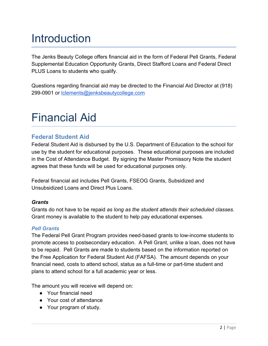### Introduction

The Jenks Beauty College offers financial aid in the form of Federal Pell Grants, Federal Supplemental Education Opportunity Grants, Direct Stafford Loans and Federal Direct PLUS Loans to students who qualify.

Questions regarding financial aid may be directed to the Financial Aid Director at (918) 299-0901 or lclements@jenksbeautycollege.com

### Financial Aid

### **Federal Student Aid**

Federal Student Aid is disbursed by the U.S. Department of Education to the school for use by the student for educational purposes. These educational purposes are included in the Cost of Attendance Budget. By signing the Master Promissory Note the student agrees that these funds will be used for educational purposes only.

Federal financial aid includes Pell Grants, FSEOG Grants, Subsidized and Unsubsidized Loans and Direct Plus Loans.

### *Grants*

Grants do not have to be repaid *as long as the student attends their scheduled classes.* Grant money is available to the student to help pay educational expenses.

### *Pell Grants*

The Federal Pell Grant Program provides need-based grants to low-income students to promote access to postsecondary education. A Pell Grant, unlike a loan, does not have to be repaid. Pell Grants are made to students based on the information reported on the Free Application for Federal Student Aid (FAFSA). The amount depends on your financial need, costs to attend school, status as a full-time or part-time student and plans to attend school for a full academic year or less.

The amount you will receive will depend on:

- Your financial need
- Your cost of attendance
- Your program of study.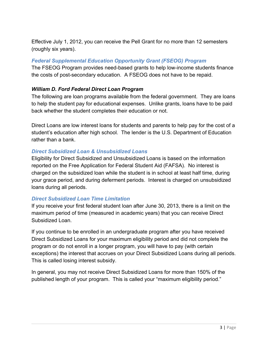Effective July 1, 2012, you can receive the Pell Grant for no more than 12 semesters (roughly six years).

#### *Federal Supplemental Education Opportunity Grant (FSEOG) Program*

The FSEOG Program provides need-based grants to help low-income students finance the costs of post-secondary education. A FSEOG does not have to be repaid.

#### *William D. Ford Federal Direct Loan Program*

The following are loan programs available from the federal government. They are loans to help the student pay for educational expenses. Unlike grants, loans have to be paid back whether the student completes their education or not.

Direct Loans are low interest loans for students and parents to help pay for the cost of a student's education after high school. The lender is the U.S. Department of Education rather than a bank.

#### *Direct Subsidized Loan & Unsubsidized Loans*

Eligibility for Direct Subsidized and Unsubsidized Loans is based on the information reported on the Free Application for Federal Student Aid (FAFSA). No interest is charged on the subsidized loan while the student is in school at least half time, during your grace period, and during deferment periods. Interest is charged on unsubsidized loans during all periods.

### *Direct Subsidized Loan Time Limitation*

If you receive your first federal student loan after June 30, 2013, there is a limit on the maximum period of time (measured in academic years) that you can receive Direct Subsidized Loan.

If you continue to be enrolled in an undergraduate program after you have received Direct Subsidized Loans for your maximum eligibility period and did not complete the program or do not enroll in a longer program, you will have to pay (with certain exceptions) the interest that accrues on your Direct Subsidized Loans during all periods. This is called losing interest subsidy.

In general, you may not receive Direct Subsidized Loans for more than 150% of the published length of your program. This is called your "maximum eligibility period."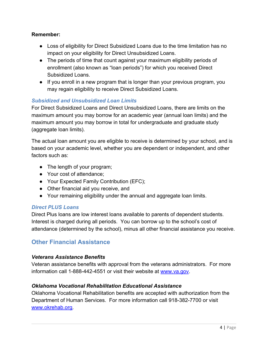#### **Remember:**

- Loss of eligibility for Direct Subsidized Loans due to the time limitation has no impact on your eligibility for Direct Unsubsidized Loans.
- The periods of time that count against your maximum eligibility periods of enrollment (also known as "loan periods") for which you received Direct Subsidized Loans.
- If you enroll in a new program that is longer than your previous program, you may regain eligibility to receive Direct Subsidized Loans.

### *Subsidized and Unsubsidized Loan Limits*

For Direct Subsidized Loans and Direct Unsubsidized Loans, there are limits on the maximum amount you may borrow for an academic year (annual loan limits) and the maximum amount you may borrow in total for undergraduate and graduate study (aggregate loan limits).

The actual loan amount you are eligible to receive is determined by your school, and is based on your academic level, whether you are dependent or independent, and other factors such as:

- The length of your program;
- Your cost of attendance:
- Your Expected Family Contribution (EFC);
- Other financial aid you receive, and
- Your remaining eligibility under the annual and aggregate loan limits.

### *Direct PLUS Loans*

Direct Plus loans are low interest loans available to parents of dependent students. Interest is charged during all periods. You can borrow up to the school's cost of attendance (determined by the school), minus all other financial assistance you receive.

### **Other Financial Assistance**

### *Veterans Assistance Benefits*

Veteran assistance benefits with approval from the veterans administrators. For more information call 1-888-442-4551 or visit their website at www.va.gov.

### *Oklahoma Vocational Rehabilitation Educational Assistance*

Oklahoma Vocational Rehabilitation benefits are accepted with authorization from the Department of Human Services. For more information call 918-382-7700 or visit www.okrehab.org.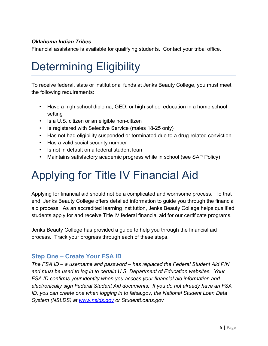#### *Oklahoma Indian Tribes*

Financial assistance is available for qualifying students. Contact your tribal office.

### Determining Eligibility

To receive federal, state or institutional funds at Jenks Beauty College, you must meet the following requirements:

- Have a high school diploma, GED, or high school education in a home school setting
- Is a U.S. citizen or an eligible non-citizen
- Is registered with Selective Service (males 18-25 only)
- Has not had eligibility suspended or terminated due to a drug-related conviction
- Has a valid social security number
- Is not in default on a federal student loan
- Maintains satisfactory academic progress while in school (see SAP Policy)

### Applying for Title IV Financial Aid

Applying for financial aid should not be a complicated and worrisome process. To that end, Jenks Beauty College offers detailed information to guide you through the financial aid process. As an accredited learning institution, Jenks Beauty College helps qualified students apply for and receive Title IV federal financial aid for our certificate programs.

Jenks Beauty College has provided a guide to help you through the financial aid process. Track your progress through each of these steps.

### **Step One – Create Your FSA ID**

*The FSA ID – a username and password – has replaced the Federal Student Aid PIN and must be used to log in to certain U.S. Department of Education websites. Your FSA ID confirms your identity when you access your financial aid information and electronically sign Federal Student Aid documents. If you do not already have an FSA ID, you can create one when logging in to fafsa.gov, the National Student Loan Data System (NSLDS) at www.nslds.gov or StudentLoans.gov*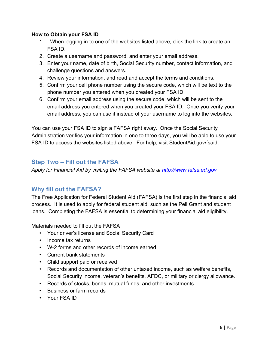#### **How to Obtain your FSA ID**

- 1. When logging in to one of the websites listed above, click the link to create an FSA ID.
- 2. Create a username and password, and enter your email address.
- 3. Enter your name, date of birth, Social Security number, contact information, and challenge questions and answers.
- 4. Review your information, and read and accept the terms and conditions.
- 5. Confirm your cell phone number using the secure code, which will be text to the phone number you entered when you created your FSA ID.
- 6. Confirm your email address using the secure code, which will be sent to the email address you entered when you created your FSA ID. Once you verify your email address, you can use it instead of your username to log into the websites.

You can use your FSA ID to sign a FAFSA right away. Once the Social Security Administration verifies your information in one to three days, you will be able to use your FSA ID to access the websites listed above. For help, visit StudentAid.gov/fsaid.

### **Step Two – Fill out the FAFSA**

*Apply for Financial Aid by visiting the FAFSA website at http://www.fafsa.ed.gov*

### **Why fill out the FAFSA?**

The Free Application for Federal Student Aid (FAFSA) is the first step in the financial aid process. It is used to apply for federal student aid, such as the Pell Grant and student loans. Completing the FAFSA is essential to determining your financial aid eligibility.

Materials needed to fill out the FAFSA

- Your driver's license and Social Security Card
- Income tax returns
- W-2 forms and other records of income earned
- Current bank statements
- Child support paid or received
- Records and documentation of other untaxed income, such as welfare benefits, Social Security income, veteran's benefits, AFDC, or military or clergy allowance.
- Records of stocks, bonds, mutual funds, and other investments.
- Business or farm records
- Your FSA ID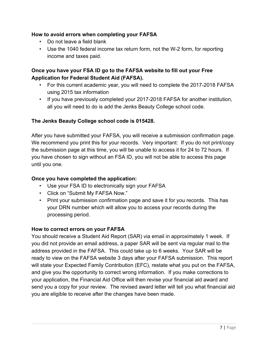#### **How to avoid errors when completing your FAFSA**

- Do not leave a field blank
- Use the 1040 federal income tax return form, not the W-2 form, for reporting income and taxes paid.

### **Once you have your FSA ID go to the FAFSA website to fill out your Free Application for Federal Student Aid (FAFSA).**

- For this current academic year, you will need to complete the 2017-2018 FAFSA using 2015 tax information
- If you have previously completed your 2017-2018 FAFSA for another institution, all you will need to do is add the Jenks Beauty College school code.

### **The Jenks Beauty College school code is 015428.**

After you have submitted your FAFSA, you will receive a submission confirmation page. We recommend you print this for your records. Very important: If you do not print/copy the submission page at this time, you will be unable to access it for 24 to 72 hours. If you have chosen to sign without an FSA ID, you will not be able to access this page until you one.

### **Once you have completed the application:**

- Use your FSA ID to electronically sign your FAFSA
- Click on "Submit My FAFSA Now."
- Print your submission confirmation page and save it for you records. This has your DRN number which will allow you to access your records during the processing period.

### **How to correct errors on your FAFSA**

You should receive a Student Aid Report (SAR) via email in approximately 1 week. If you did not provide an email address, a paper SAR will be sent via regular mail to the address provided in the FAFSA. This could take up to 6 weeks. Your SAR will be ready to view on the FAFSA website 3 days after your FAFSA submission. This report will state your Expected Family Contribution (EFC), restate what you put on the FAFSA, and give you the opportunity to correct wrong information. If you make corrections to your application, the Financial Aid Office will then revise your financial aid award and send you a copy for your review. The revised award letter will tell you what financial aid you are eligible to receive after the changes have been made.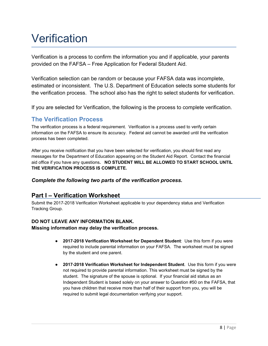### **Verification**

Verification is a process to confirm the information you and if applicable, your parents provided on the FAFSA – Free Application for Federal Student Aid.

Verification selection can be random or because your FAFSA data was incomplete, estimated or inconsistent. The U.S. Department of Education selects some students for the verification process. The school also has the right to select students for verification.

If you are selected for Verification, the following is the process to complete verification.

### **The Verification Process**

The verification process is a federal requirement. Verification is a process used to verify certain information on the FAFSA to ensure its accuracy. Federal aid cannot be awarded until the verification process has been completed.

After you receive notification that you have been selected for verification, you should first read any messages for the Department of Education appearing on the Student Aid Report. Contact the financial aid office if you have any questions**. NO STUDENT WILL BE ALLOWED TO START SCHOOL UNTIL THE VERIFICATION PROCESS IS COMPLETE.**

*Complete the following two parts of the verification process.*

### **Part I – Verification Worksheet**

Submit the 2017-2018 Verification Worksheet applicable to your dependency status and Verification Tracking Group.

#### **DO NOT LEAVE ANY INFORMATION BLANK.**

**Missing information may delay the verification process.**

- **2017-2018 Verification Worksheet for Dependent Student**: Use this form if you were required to include parental information on your FAFSA. The worksheet must be signed by the student and one parent.
- *●* **2017-2018 Verification Worksheet for Independent Student**. Use this form if you were not required to provide parental information. This worksheet must be signed by the student. The signature of the spouse is optional. If your financial aid status as an Independent Student is based solely on your answer to Question #50 on the FAFSA, that you have children that receive more than half of their support from you, you will be required to submit legal documentation verifying your support.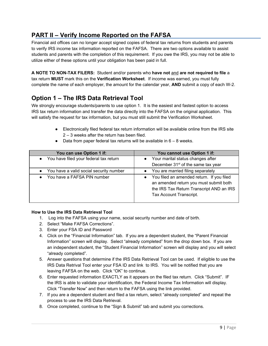### **PART II – Verify Income Reported on the FAFSA**

Financial aid offices can no longer accept signed copies of federal tax returns from students and parents to verify IRS income tax information reported on the FAFSA. There are two options available to assist students and parents with the completion of this requirement. If you owe the IRS, you may not be able to utilize either of these options until your obligation has been paid in full.

**A NOTE TO NON-TAX FILERS:** Student and/or parents who **have not** and **are not required to file** a tax return **MUST** mark this on the **Verification Worksheet**. If income was earned, you must fully complete the name of each employer, the amount for the calendar year, **AND** submit a copy of each W-2.

### **Option 1 – The IRS Data Retrieval Tool**

We strongly encourage students/parents to use option 1. It is the easiest and fastest option to access IRS tax return information and transfer the data directly into the FAFSA on the original application. This will satisfy the request for tax information, but you must still submit the Verification Worksheet.

> ● Electronically filed federal tax return information will be available online from the IRS site 2 – 3 weeks after the return has been filed.

| You can use Option 1 if:                | You cannot use Option 1 if:                                                                                                                                  |
|-----------------------------------------|--------------------------------------------------------------------------------------------------------------------------------------------------------------|
| You have filed your federal tax return  | • Your marital status changes after                                                                                                                          |
|                                         | December 31 <sup>st</sup> of the same tax year                                                                                                               |
| You have a valid social security number | You are married filing separately                                                                                                                            |
| • You have a FAFSA PIN number           | • You filed an amended return. If you filed<br>an amended return you must submit both<br>the IRS Tax Return Transcript AND an IRS<br>Tax Account Transcript. |

 $\bullet$  Data from paper federal tax returns will be available in  $6 - 8$  weeks.

#### **How to Use the IRS Data Retrieval Tool**

- 1. Log into the FAFSA using your name, social security number and date of birth.
- 2. Select "Make FAFSA Corrections".
- 3. Enter your FSA ID and Password
- 4. Click on the "Financial Information" tab. If you are a dependent student, the "Parent Financial Information" screen will display. Select "already completed" from the drop down box. If you are an independent student, the "Student Financial Information" screen will display and you will select "already completed".
- 5. Answer questions that determine if the IRS Data Retrieval Tool can be used. If eligible to use the IRS Data Retrival Tool enter your FSA ID and link to IRS. You will be notified that you are leaving FAFSA on the web. Click "OK" to continue.
- 6. Enter requested information EXACTLY as it appears on the filed tax return. Click "Submit". IF the IRS is able to validate your identification, the Federal Income Tax Information will display. Click "Transfer Now" and then return to the FAFSA using the link provided.
- 7. If you are a dependent student and filed a tax return, select "already completed" and repeat the process to use the IRS Data Retrieval.
- 8. Once completed, continue to the "Sign & Submit" tab and submit you corrections.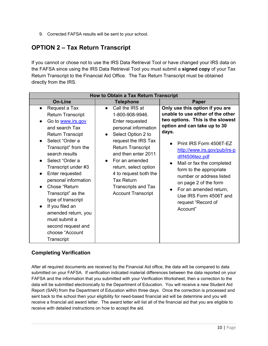9. Corrected FAFSA results will be sent to your school.

### **OPTION 2 – Tax Return Transcript**

If you cannot or chose not to use the IRS Data Retrieval Tool or have changed your IRS data on the FAFSA since using the IRS Data Retrieval Tool you must submit a **signed copy** of your Tax Return Transcript to the Financial Aid Office. The Tax Return Transcript must be obtained directly from the IRS.

| <b>How to Obtain a Tax Return Transcript</b>                                                                                                                                                                                                                                                                                                                                                                                          |                                                                                                                                                                                                                                                                                                                                                                   |                                                                                                                                                                                                                                                                                                                                                                                                                                                 |  |
|---------------------------------------------------------------------------------------------------------------------------------------------------------------------------------------------------------------------------------------------------------------------------------------------------------------------------------------------------------------------------------------------------------------------------------------|-------------------------------------------------------------------------------------------------------------------------------------------------------------------------------------------------------------------------------------------------------------------------------------------------------------------------------------------------------------------|-------------------------------------------------------------------------------------------------------------------------------------------------------------------------------------------------------------------------------------------------------------------------------------------------------------------------------------------------------------------------------------------------------------------------------------------------|--|
| <b>On-Line</b>                                                                                                                                                                                                                                                                                                                                                                                                                        | <b>Telephone</b>                                                                                                                                                                                                                                                                                                                                                  | <b>Paper</b>                                                                                                                                                                                                                                                                                                                                                                                                                                    |  |
| Request a Tax<br>Return Transcript<br>Go to www.irs.gov<br>and search Tax<br><b>Return Transcipt</b><br>Select "Order a<br>Transcript" from the<br>search results<br>Select "Order a<br>Transcript under #3<br>Enter requested<br>personal information<br>Chose "Return<br>Transcript" as the<br>type of transcript<br>If you filed an<br>amended return, you<br>must submit a<br>second request and<br>choose "Account<br>Transcript | Call the IRS at<br>$\bullet$<br>1-800-908-9946.<br>Enter requested<br>personal information<br>Select Option 2 to<br>$\bullet$<br>request the IRS Tax<br><b>Return Transcript</b><br>and then enter 2011<br>For an amended<br>$\bullet$<br>return, select option<br>4 to request both the<br><b>Tax Return</b><br>Transcripts and Tax<br><b>Account Transcript</b> | Only use this option if you are<br>unable to use either of the other<br>two options. This is the slowest<br>option and can take up to 30<br>days.<br>Print IRS Form 4506T-EZ<br>http://www.irs.gov/pub/irs-p<br>df/f4506tez.pdf<br>Mail or fax the completed<br>form to the appropriate<br>number or address listed<br>on page 2 of the form<br>For an amended return,<br>$\bullet$<br>Use IRS Form 4506T and<br>request "Record of<br>Account" |  |

#### **Completing Verification**

After all required documents are received by the Financial Aid office, the data will be compared to data submitted on your FAFSA. If verification indicated material differences between the data reported on your FAFSA and the information that you submitted with your Verification Worksheet, then a correction to the data will be submitted electronically to the Department of Education. You will receive a new Student Aid Report (SAR) from the Department of Education within three days. Once the correction is processed and sent back to the school then your eligibility for need-based financial aid will be determine and you will receive a financial aid award letter. The award letter will list all of the financial aid that you are eligible to receive with detailed instructions on how to accept the aid.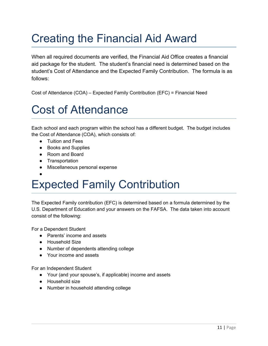### Creating the Financial Aid Award

When all required documents are verified, the Financial Aid Office creates a financial aid package for the student. The student's financial need is determined based on the student's Cost of Attendance and the Expected Family Contribution. The formula is as follows:

Cost of Attendance (COA) – Expected Family Contribution (EFC) = Financial Need

### Cost of Attendance

Each school and each program within the school has a different budget. The budget includes the Cost of Attendance (COA), which consists of:

- Tuition and Fees
- Books and Supplies
- Room and Board
- Transportation
- Miscellaneous personal expense

### ● Expected Family Contribution

The Expected Family contribution (EFC) is determined based on a formula determined by the U.S. Department of Education and your answers on the FAFSA. The data taken into account consist of the following:

For a Dependent Student

- Parents' income and assets
- Household Size
- Number of dependents attending college
- Your income and assets

For an Independent Student

- Your (and your spouse's, if applicable) income and assets
- Household size
- Number in household attending college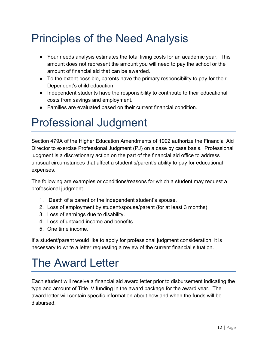### Principles of the Need Analysis

- Your needs analysis estimates the total living costs for an academic year. This amount does not represent the amount you will need to pay the school or the amount of financial aid that can be awarded.
- To the extent possible, parents have the primary responsibility to pay for their Dependent's child education.
- Independent students have the responsibility to contribute to their educational costs from savings and employment.
- Families are evaluated based on their current financial condition.

### Professional Judgment

Section 479A of the Higher Education Amendments of 1992 authorize the Financial Aid Director to exercise Professional Judgment (PJ) on a case by case basis. Professional judgment is a discretionary action on the part of the financial aid office to address unusual circumstances that affect a student's/parent's ability to pay for educational expenses.

The following are examples or conditions/reasons for which a student may request a professional judgment.

- 1. Death of a parent or the independent student's spouse.
- 2. Loss of employment by student/spouse/parent (for at least 3 months)
- 3. Loss of earnings due to disability.
- 4. Loss of untaxed income and benefits
- 5. One time income.

If a student/parent would like to apply for professional judgment consideration, it is necessary to write a letter requesting a review of the current financial situation.

### The Award Letter

Each student will receive a financial aid award letter prior to disbursement indicating the type and amount of Title IV funding in the award package for the award year. The award letter will contain specific information about how and when the funds will be disbursed.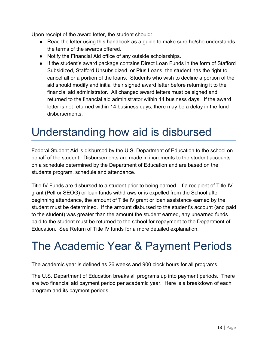Upon receipt of the award letter, the student should:

- Read the letter using this handbook as a guide to make sure he/she understands the terms of the awards offered.
- Notify the Financial Aid office of any outside scholarships.
- If the student's award package contains Direct Loan Funds in the form of Stafford Subsidized, Stafford Unsubsidized, or Plus Loans, the student has the right to cancel all or a portion of the loans. Students who wish to decline a portion of the aid should modify and initial their signed award letter before returning it to the financial aid administrator. All changed award letters must be signed and returned to the financial aid administrator within 14 business days. If the award letter is not returned within 14 business days, there may be a delay in the fund disbursements.

### Understanding how aid is disbursed

Federal Student Aid is disbursed by the U.S. Department of Education to the school on behalf of the student. Disbursements are made in increments to the student accounts on a schedule determined by the Department of Education and are based on the students program, schedule and attendance.

Title IV Funds are disbursed to a student prior to being earned. If a recipient of Title IV grant (Pell or SEOG) or loan funds withdraws or is expelled from the School after beginning attendance, the amount of Title IV grant or loan assistance earned by the student must be determined. If the amount disbursed to the student's account (and paid to the student) was greater than the amount the student earned, any unearned funds paid to the student must be returned to the school for repayment to the Department of Education. See Return of Title IV funds for a more detailed explanation.

### The Academic Year & Payment Periods

The academic year is defined as 26 weeks and 900 clock hours for all programs.

The U.S. Department of Education breaks all programs up into payment periods. There are two financial aid payment period per academic year. Here is a breakdown of each program and its payment periods.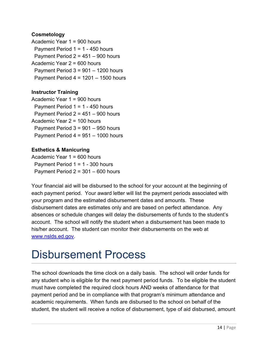#### **Cosmetology**

Academic Year 1 = 900 hours Payment Period 1 = 1 - 450 hours Payment Period  $2 = 451 - 900$  hours Academic Year 2 = 600 hours Payment Period 3 = 901 – 1200 hours Payment Period 4 = 1201 – 1500 hours

#### **Instructor Training**

Academic Year 1 = 900 hours Payment Period 1 = 1 - 450 hours Payment Period  $2 = 451 - 900$  hours Academic Year 2 = 100 hours Payment Period  $3 = 901 - 950$  hours Payment Period  $4 = 951 - 1000$  hours

#### **Esthetics & Manicuring**

Academic Year 1 = 600 hours Payment Period 1 = 1 - 300 hours Payment Period 2 = 301 – 600 hours

Your financial aid will be disbursed to the school for your account at the beginning of each payment period. Your award letter will list the payment periods associated with your program and the estimated disbursement dates and amounts. These disbursement dates are estimates only and are based on perfect attendance. Any absences or schedule changes will delay the disbursements of funds to the student's account. The school will notify the student when a disbursement has been made to his/her account. The student can monitor their disbursements on the web at www.nslds.ed.gov.

### Disbursement Process

The school downloads the time clock on a daily basis. The school will order funds for any student who is eligible for the next payment period funds. To be eligible the student must have completed the required clock hours AND weeks of attendance for that payment period and be in compliance with that program's minimum attendance and academic requirements. When funds are disbursed to the school on behalf of the student, the student will receive a notice of disbursement, type of aid disbursed, amount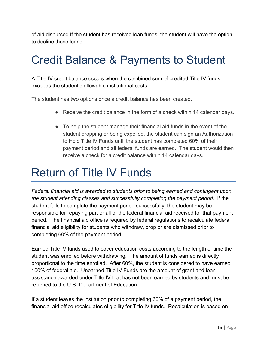of aid disbursed.If the student has received loan funds, the student will have the option to decline these loans.

### Credit Balance & Payments to Student

A Title IV credit balance occurs when the combined sum of credited Title IV funds exceeds the student's allowable institutional costs.

The student has two options once a credit balance has been created.

- Receive the credit balance in the form of a check within 14 calendar days.
- To help the student manage their financial aid funds in the event of the student dropping or being expelled, the student can sign an Authorization to Hold Title IV Funds until the student has completed 60% of their payment period and all federal funds are earned. The student would then receive a check for a credit balance within 14 calendar days.

### Return of Title IV Funds

*Federal financial aid is awarded to students prior to being earned and contingent upon the student attending classes and successfully completing the payment period*. If the student fails to complete the payment period successfully, the student may be responsible for repaying part or all of the federal financial aid received for that payment period. The financial aid office is required by federal regulations to recalculate federal financial aid eligibility for students who withdraw, drop or are dismissed prior to completing 60% of the payment period.

Earned Title IV funds used to cover education costs according to the length of time the student was enrolled before withdrawing. The amount of funds earned is directly proportional to the time enrolled. After 60%, the student is considered to have earned 100% of federal aid. Unearned Title IV Funds are the amount of grant and loan assistance awarded under Title IV that has not been earned by students and must be returned to the U.S. Department of Education.

If a student leaves the institution prior to completing 60% of a payment period, the financial aid office recalculates eligibility for Title IV funds. Recalculation is based on